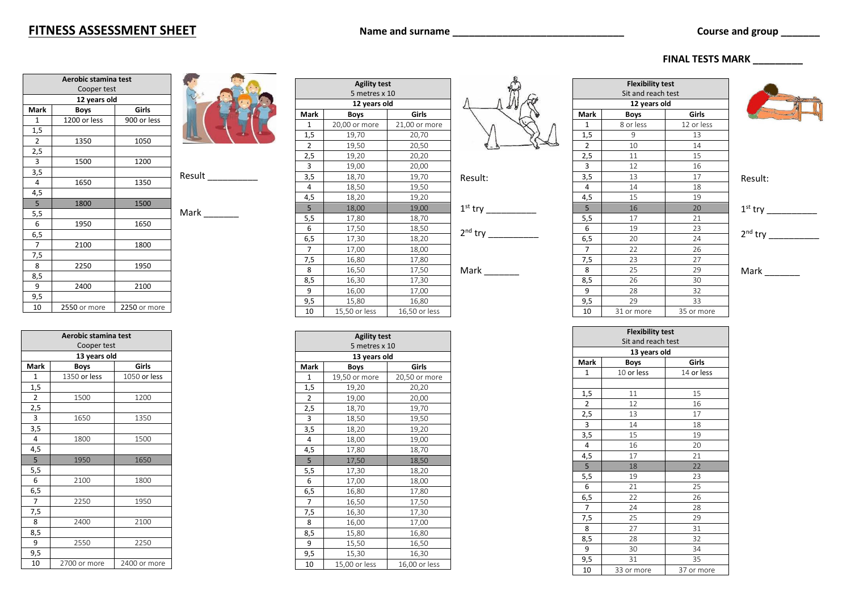## **FITNESS ASSESSMENT SHEET** Name and surname **Name and surname** Course and group

| Aerobic stamina test |              |              |   |
|----------------------|--------------|--------------|---|
|                      | Cooper test  |              |   |
|                      | 12 years old |              |   |
| Mark                 | <b>Boys</b>  | Girls        |   |
| $\mathbf{1}$         | 1200 or less | 900 or less  |   |
| 1,5                  |              |              |   |
| $\overline{2}$       | 1350         | 1050         |   |
| 2,5                  |              |              |   |
| 3                    | 1500         | 1200         |   |
| 3,5                  |              |              | R |
| 4                    | 1650         | 1350         |   |
| 4,5                  |              |              |   |
| 5                    | 1800         | 1500         |   |
| 5,5                  |              |              | Λ |
| 6                    | 1950         | 1650         |   |
| 6,5                  |              |              |   |
| $\overline{7}$       | 2100         | 1800         |   |
| 7,5                  |              |              |   |
| 8                    | 2250         | 1950         |   |
| 8,5                  |              |              |   |
| 9                    | 2400         | 2100         |   |
| 9,5                  |              |              |   |
| 10                   | 2550 or more | 2250 or more |   |

|                | Aerobic stamina test         |              |  |
|----------------|------------------------------|--------------|--|
|                | Cooper test                  |              |  |
|                | 13 years old                 |              |  |
| Mark           | <b>Boys</b>                  | Girls        |  |
| $\mathbf{1}$   | 1350 or less                 | 1050 or less |  |
| 1,5            |                              |              |  |
| $\overline{2}$ | 1500                         | 1200         |  |
| 2,5            |                              |              |  |
| 3              | 1650                         | 1350         |  |
| 3,5            |                              |              |  |
| 4              | 1800                         | 1500         |  |
| 4,5            |                              |              |  |
| 5              | 1950                         | 1650         |  |
| 5,5            |                              |              |  |
| 6              | 2100                         | 1800         |  |
| 6,5            |                              |              |  |
| $\overline{7}$ | 2250                         | 1950         |  |
| 7,5            |                              |              |  |
| 8              | 2400                         | 2100         |  |
| 8,5            |                              |              |  |
| 9              | 2550                         | 2250         |  |
| 9,5            |                              |              |  |
| 10             | 2700 or more<br>2400 or more |              |  |



Result

 $Mark$ 

| 1              | 20,00 or more | 21,00 or more |           |
|----------------|---------------|---------------|-----------|
| 1,5            | 19,70         | 20,70         |           |
| $\overline{2}$ | 19,50         | 20,50         |           |
| 2,5            | 19,20         | 20,20         |           |
| 3              | 19,00         | 20,00         |           |
| 3,5            | 18,70         | 19,70         | Result:   |
| 4              | 18,50         | 19,50         |           |
| 4,5            | 18,20         | 19,20         |           |
| 5              | 18,00         | 19,00         | $1st$ try |
| 5,5            | 17,80         | 18,70         |           |
| 6              | 17,50         | 18,50         | $2nd$ try |
| 6,5            | 17,30         | 18,20         |           |
| $\overline{7}$ | 17,00         | 18,00         |           |
| 7,5            | 16,80         | 17,80         |           |
| 8              | 16,50         | 17,50         | Mark      |
| 8,5            | 16,30         | 17,30         |           |
| 9              | 16,00         | 17,00         |           |
| 9,5            | 15,80         | 16,80         |           |
| 10             | 15,50 or less | 16,50 or less |           |

**Agility test** 5 metres x 10 **13 years old Mark Boys Girls** 1 19.50 or more 20.50 or more 1,5 19,20 20,20 2 19,00 20,00 2,5 18,70 19,70 3 18,50 19,50<br>3,5 18,20 19,20

3,5 18,20 19,20

4 18,00 19,00 4,5 17,80 18,70 5 17,50 18,50 5,5 17,30 18,20 6 17,00 18,00 6,5 16,80 17,80 7 16,50 17,50 7,5 16,30 17,30 8 16,00 17,00 8,5 15,80 16,80 9 15,50 16,50 9,5 15,30 16,30 10 15,00 or less 16,00 or less

**Agility test** 5 metres x 10 **12 years old Mark Boys Girls**

|   |                  | Sit and reach test |            |  |  |
|---|------------------|--------------------|------------|--|--|
|   |                  | 12 years old       |            |  |  |
|   | Mark             | <b>Boys</b>        | Girls      |  |  |
|   | 1                | 8 or less          | 12 or less |  |  |
|   | 1,5              | 9                  | 13         |  |  |
| ↳ | $\overline{2}$   | 10                 | 14         |  |  |
|   | $\overline{2,5}$ | 11                 | 15         |  |  |
|   | 3                | 12                 | 16         |  |  |
|   | 3,5              | 13                 | 17         |  |  |
|   | 4                | 14                 | 18         |  |  |
|   | 4,5              | 15                 | 19         |  |  |
|   | 5                | 16                 | 20         |  |  |
|   | 5,5              | 17                 | 21         |  |  |
|   | 6                | 19                 | 23         |  |  |
|   | 6,5              | 20                 | 24         |  |  |
|   | 7                | 22                 | 26         |  |  |
|   | 7,5              | 23                 | 27         |  |  |
|   | 8                | 25                 | 29         |  |  |
|   | 8,5              | 26                 | 30         |  |  |
|   | 9                | 28                 | 32         |  |  |
|   | 9,5              | 29                 | 33         |  |  |
|   | 10               | 31 or more         | 35 or more |  |  |

**Flexibility test**

 **FINAL TESTS MARK \_\_\_\_\_\_\_\_\_**

Result:

 $\frac{1}{2}$ 

nd try \_\_\_\_\_\_\_\_\_\_

Mark

| <b>Flexibility test</b> |              |            |
|-------------------------|--------------|------------|
| Sit and reach test      |              |            |
|                         | 13 years old |            |
| Mark                    | <b>Boys</b>  | Girls      |
| $\mathbf{1}$            | 10 or less   | 14 or less |
|                         |              |            |
| 1,5                     | 11           | 15         |
| $\overline{2}$          | 12           | 16         |
| 2,5                     | 13           | 17         |
| $\overline{3}$          | 14           | 18         |
| 3,5                     | 15           | 19         |
| 4                       | 16           | 20         |
| 4,5                     | 17           | 21         |
| 5                       | 18           | 22         |
| 5,5                     | 19           | 23         |
| 6                       | 21           | 25         |
| 6,5                     | 22           | 26         |
| 7                       | 24           | 28         |
| 7,5                     | 25           | 29         |
| 8                       | 27           | 31         |
| 8,5                     | 28           | 32         |
| 9                       | 30           | 34         |
| 9,5                     | 31           | 35         |
| 10                      | 33 or more   | 37 or more |



| Rest                 | $\blacksquare$ |
|----------------------|----------------|
|                      | 18             |
|                      | 19             |
| $1st$ ti             | 20             |
|                      | 21             |
| 2 <sub>nd</sub><br>t | 23             |
|                      | 24             |
|                      |                |

|  | ame and surname |  |
|--|-----------------|--|
|  |                 |  |